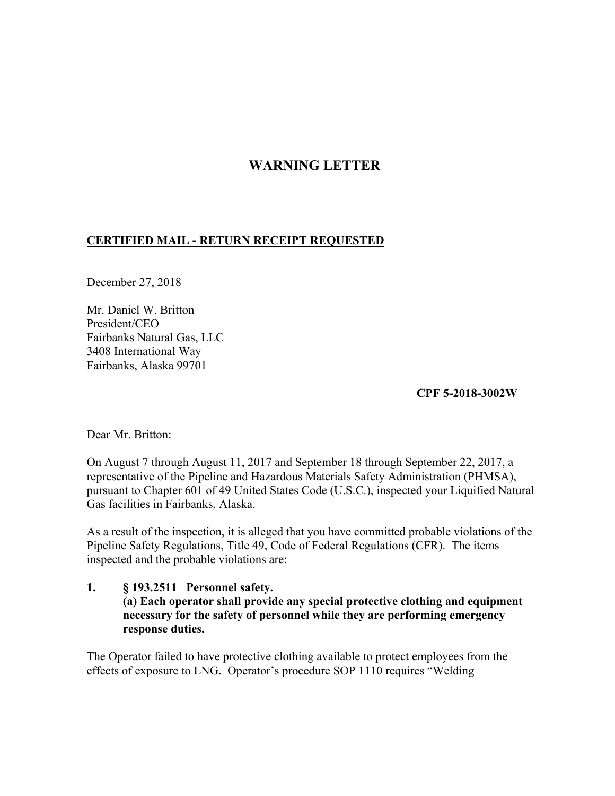# **WARNING LETTER**

# **CERTIFIED MAIL - RETURN RECEIPT REQUESTED**

December 27, 2018

Mr. Daniel W. Britton President/CEO Fairbanks Natural Gas, LLC 3408 International Way Fairbanks, Alaska 99701

**CPF 5-2018-3002W** 

Dear Mr. Britton:

On August 7 through August 11, 2017 and September 18 through September 22, 2017, a representative of the Pipeline and Hazardous Materials Safety Administration (PHMSA), pursuant to Chapter 601 of 49 United States Code (U.S.C.), inspected your Liquified Natural Gas facilities in Fairbanks, Alaska.

As a result of the inspection, it is alleged that you have committed probable violations of the Pipeline Safety Regulations, Title 49, Code of Federal Regulations (CFR). The items inspected and the probable violations are:

**1. § 193.2511 Personnel safety. (a) Each operator shall provide any special protective clothing and equipment necessary for the safety of personnel while they are performing emergency response duties.** 

The Operator failed to have protective clothing available to protect employees from the effects of exposure to LNG. Operator's procedure SOP 1110 requires "Welding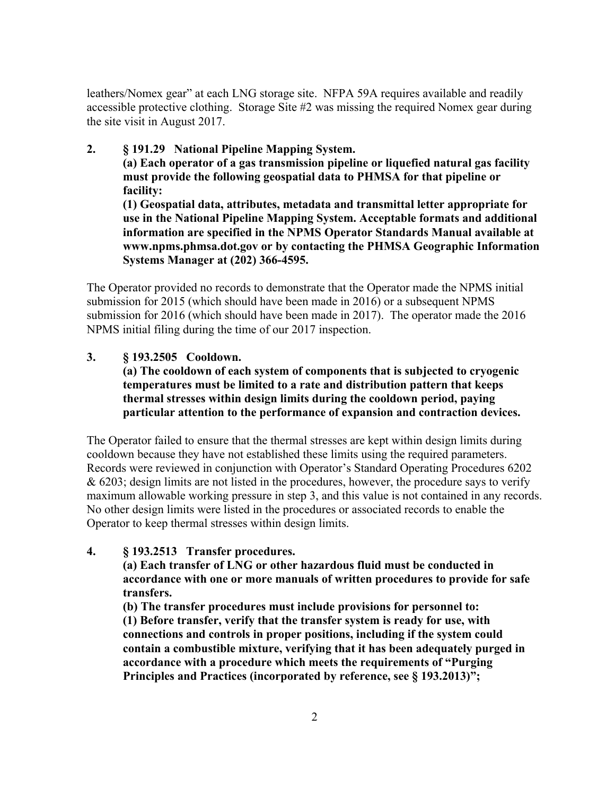leathers/Nomex gear" at each LNG storage site. NFPA 59A requires available and readily accessible protective clothing. Storage Site #2 was missing the required Nomex gear during the site visit in August 2017.

# **2. § 191.29 National Pipeline Mapping System.**

**(a) Each operator of a gas transmission pipeline or liquefied natural gas facility must provide the following geospatial data to PHMSA for that pipeline or facility:**

**(1) Geospatial data, attributes, metadata and transmittal letter appropriate for use in the National Pipeline Mapping System. Acceptable formats and additional information are specified in the NPMS Operator Standards Manual available at <www.npms.phmsa.dot.gov> or by contacting the PHMSA Geographic Information Systems Manager at (202) 366-4595.** 

The Operator provided no records to demonstrate that the Operator made the NPMS initial submission for 2015 (which should have been made in 2016) or a subsequent NPMS submission for 2016 (which should have been made in 2017). The operator made the 2016 NPMS initial filing during the time of our 2017 inspection.

## **3. § 193.2505 Cooldown.**

**(a) The cooldown of each system of components that is subjected to cryogenic temperatures must be limited to a rate and distribution pattern that keeps thermal stresses within design limits during the cooldown period, paying particular attention to the performance of expansion and contraction devices.**

The Operator failed to ensure that the thermal stresses are kept within design limits during cooldown because they have not established these limits using the required parameters. Records were reviewed in conjunction with Operator's Standard Operating Procedures 6202 & 6203; design limits are not listed in the procedures, however, the procedure says to verify maximum allowable working pressure in step 3, and this value is not contained in any records. No other design limits were listed in the procedures or associated records to enable the Operator to keep thermal stresses within design limits.

## **4. § 193.2513 Transfer procedures.**

**(a) Each transfer of LNG or other hazardous fluid must be conducted in accordance with one or more manuals of written procedures to provide for safe transfers.**

**(b) The transfer procedures must include provisions for personnel to: (1) Before transfer, verify that the transfer system is ready for use, with connections and controls in proper positions, including if the system could contain a combustible mixture, verifying that it has been adequately purged in accordance with a procedure which meets the requirements of "Purging Principles and Practices (incorporated by reference, see § 193.2013)";**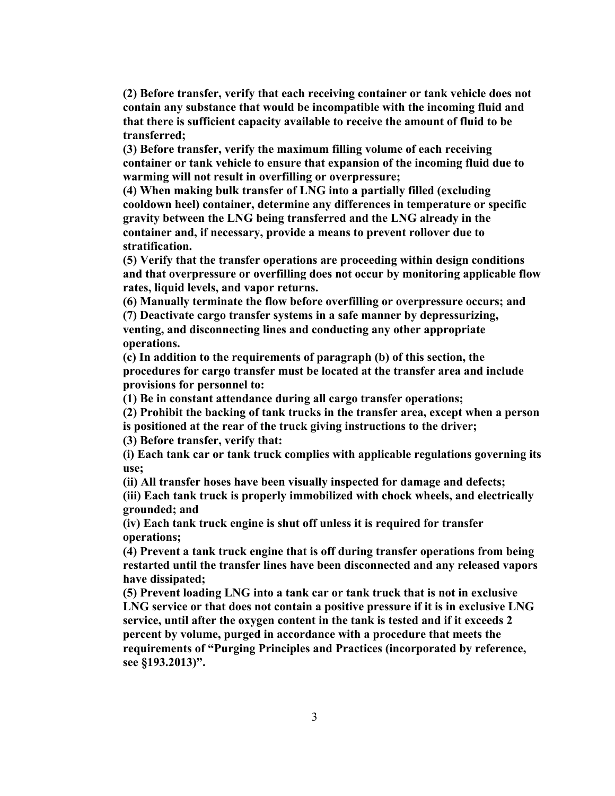**(2) Before transfer, verify that each receiving container or tank vehicle does not contain any substance that would be incompatible with the incoming fluid and that there is sufficient capacity available to receive the amount of fluid to be transferred;**

**(3) Before transfer, verify the maximum filling volume of each receiving container or tank vehicle to ensure that expansion of the incoming fluid due to warming will not result in overfilling or overpressure;**

**(4) When making bulk transfer of LNG into a partially filled (excluding cooldown heel) container, determine any differences in temperature or specific gravity between the LNG being transferred and the LNG already in the container and, if necessary, provide a means to prevent rollover due to stratification.**

**(5) Verify that the transfer operations are proceeding within design conditions and that overpressure or overfilling does not occur by monitoring applicable flow rates, liquid levels, and vapor returns.**

**(6) Manually terminate the flow before overfilling or overpressure occurs; and (7) Deactivate cargo transfer systems in a safe manner by depressurizing, venting, and disconnecting lines and conducting any other appropriate operations.**

**(c) In addition to the requirements of paragraph (b) of this section, the procedures for cargo transfer must be located at the transfer area and include provisions for personnel to:**

**(1) Be in constant attendance during all cargo transfer operations;**

**(2) Prohibit the backing of tank trucks in the transfer area, except when a person** 

**is positioned at the rear of the truck giving instructions to the driver;**

**(3) Before transfer, verify that:**

**(i) Each tank car or tank truck complies with applicable regulations governing its use;**

**(ii) All transfer hoses have been visually inspected for damage and defects;**

**(iii) Each tank truck is properly immobilized with chock wheels, and electrically grounded; and**

**(iv) Each tank truck engine is shut off unless it is required for transfer operations;**

**(4) Prevent a tank truck engine that is off during transfer operations from being restarted until the transfer lines have been disconnected and any released vapors have dissipated;**

**(5) Prevent loading LNG into a tank car or tank truck that is not in exclusive LNG service or that does not contain a positive pressure if it is in exclusive LNG service, until after the oxygen content in the tank is tested and if it exceeds 2 percent by volume, purged in accordance with a procedure that meets the requirements of "Purging Principles and Practices (incorporated by reference, see §193.2013)".**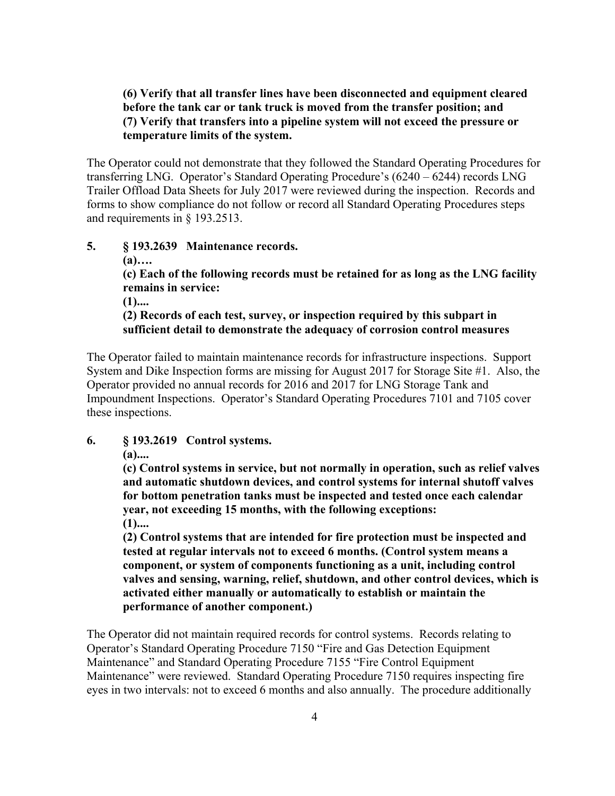#### **(6) Verify that all transfer lines have been disconnected and equipment cleared before the tank car or tank truck is moved from the transfer position; and (7) Verify that transfers into a pipeline system will not exceed the pressure or temperature limits of the system.**

The Operator could not demonstrate that they followed the Standard Operating Procedures for transferring LNG. Operator's Standard Operating Procedure's (6240 – 6244) records LNG Trailer Offload Data Sheets for July 2017 were reviewed during the inspection. Records and forms to show compliance do not follow or record all Standard Operating Procedures steps and requirements in § 193.2513.

#### **5. § 193.2639 Maintenance records. (a)…. (c) Each of the following records must be retained for as long as the LNG facility remains in service: (1).... (2) Records of each test, survey, or inspection required by this subpart in sufficient detail to demonstrate the adequacy of corrosion control measures**

The Operator failed to maintain maintenance records for infrastructure inspections. Support System and Dike Inspection forms are missing for August 2017 for Storage Site #1. Also, the Operator provided no annual records for 2016 and 2017 for LNG Storage Tank and Impoundment Inspections. Operator's Standard Operating Procedures 7101 and 7105 cover these inspections.

#### **6. § 193.2619 Control systems.**

**(a)....** 

**(c) Control systems in service, but not normally in operation, such as relief valves and automatic shutdown devices, and control systems for internal shutoff valves for bottom penetration tanks must be inspected and tested once each calendar year, not exceeding 15 months, with the following exceptions: (1)....** 

**(2) Control systems that are intended for fire protection must be inspected and tested at regular intervals not to exceed 6 months. (Control system means a component, or system of components functioning as a unit, including control valves and sensing, warning, relief, shutdown, and other control devices, which is activated either manually or automatically to establish or maintain the performance of another component.)** 

The Operator did not maintain required records for control systems. Records relating to Operator's Standard Operating Procedure 7150 "Fire and Gas Detection Equipment Maintenance" and Standard Operating Procedure 7155 "Fire Control Equipment Maintenance" were reviewed. Standard Operating Procedure 7150 requires inspecting fire eyes in two intervals: not to exceed 6 months and also annually. The procedure additionally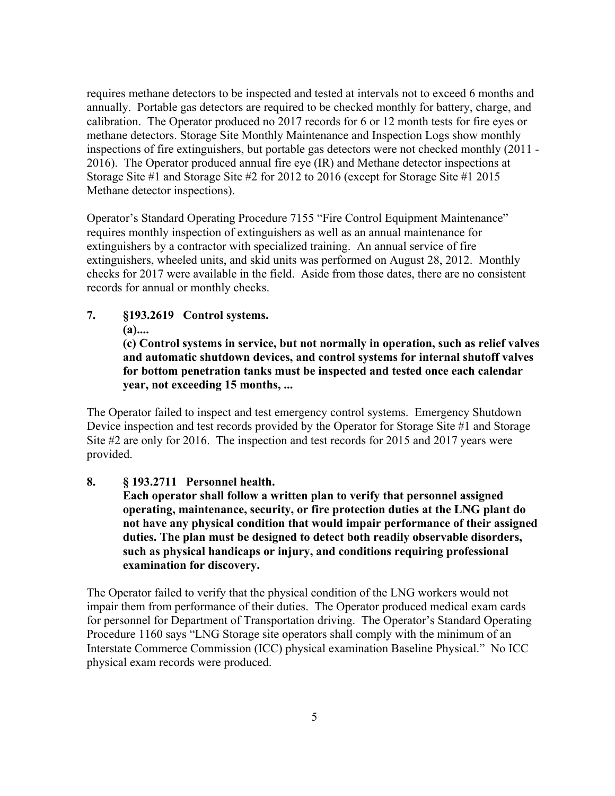requires methane detectors to be inspected and tested at intervals not to exceed 6 months and annually. Portable gas detectors are required to be checked monthly for battery, charge, and calibration. The Operator produced no 2017 records for 6 or 12 month tests for fire eyes or methane detectors. Storage Site Monthly Maintenance and Inspection Logs show monthly inspections of fire extinguishers, but portable gas detectors were not checked monthly (2011 - 2016). The Operator produced annual fire eye (IR) and Methane detector inspections at Storage Site #1 and Storage Site #2 for 2012 to 2016 (except for Storage Site #1 2015 Methane detector inspections).

Operator's Standard Operating Procedure 7155 "Fire Control Equipment Maintenance" requires monthly inspection of extinguishers as well as an annual maintenance for extinguishers by a contractor with specialized training. An annual service of fire extinguishers, wheeled units, and skid units was performed on August 28, 2012. Monthly checks for 2017 were available in the field. Aside from those dates, there are no consistent records for annual or monthly checks.

**7. §193.2619 Control systems.** 

**(a)....** 

**(c) Control systems in service, but not normally in operation, such as relief valves and automatic shutdown devices, and control systems for internal shutoff valves for bottom penetration tanks must be inspected and tested once each calendar year, not exceeding 15 months, ...**

The Operator failed to inspect and test emergency control systems. Emergency Shutdown Device inspection and test records provided by the Operator for Storage Site #1 and Storage Site #2 are only for 2016. The inspection and test records for 2015 and 2017 years were provided.

**8. § 193.2711 Personnel health.** 

**Each operator shall follow a written plan to verify that personnel assigned operating, maintenance, security, or fire protection duties at the LNG plant do not have any physical condition that would impair performance of their assigned duties. The plan must be designed to detect both readily observable disorders, such as physical handicaps or injury, and conditions requiring professional examination for discovery.** 

The Operator failed to verify that the physical condition of the LNG workers would not impair them from performance of their duties. The Operator produced medical exam cards for personnel for Department of Transportation driving. The Operator's Standard Operating Procedure 1160 says "LNG Storage site operators shall comply with the minimum of an Interstate Commerce Commission (ICC) physical examination Baseline Physical." No ICC physical exam records were produced.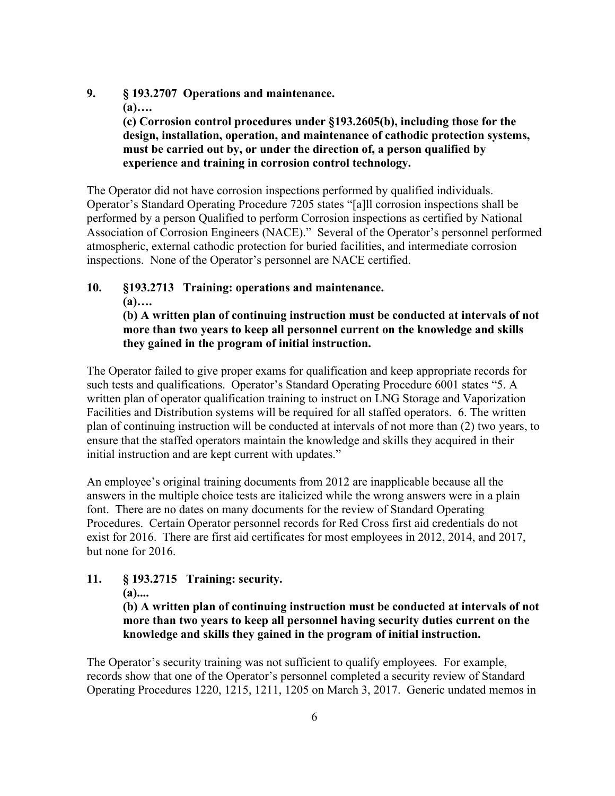- **9. § 193.2707 Operations and maintenance.** 
	- **(a)….**

**(c) Corrosion control procedures under §193.2605(b), including those for the design, installation, operation, and maintenance of cathodic protection systems, must be carried out by, or under the direction of, a person qualified by experience and training in corrosion control technology.** 

The Operator did not have corrosion inspections performed by qualified individuals. Operator's Standard Operating Procedure 7205 states "[a]ll corrosion inspections shall be performed by a person Qualified to perform Corrosion inspections as certified by National Association of Corrosion Engineers (NACE)." Several of the Operator's personnel performed atmospheric, external cathodic protection for buried facilities, and intermediate corrosion inspections. None of the Operator's personnel are NACE certified.

#### **10. §193.2713 Training: operations and maintenance. (a)…. (b) A written plan of continuing instruction must be conducted at intervals of not more than two years to keep all personnel current on the knowledge and skills they gained in the program of initial instruction.**

The Operator failed to give proper exams for qualification and keep appropriate records for such tests and qualifications. Operator's Standard Operating Procedure 6001 states "5. A written plan of operator qualification training to instruct on LNG Storage and Vaporization Facilities and Distribution systems will be required for all staffed operators. 6. The written plan of continuing instruction will be conducted at intervals of not more than (2) two years, to ensure that the staffed operators maintain the knowledge and skills they acquired in their initial instruction and are kept current with updates."

An employee's original training documents from 2012 are inapplicable because all the answers in the multiple choice tests are italicized while the wrong answers were in a plain font. There are no dates on many documents for the review of Standard Operating Procedures. Certain Operator personnel records for Red Cross first aid credentials do not exist for 2016. There are first aid certificates for most employees in 2012, 2014, and 2017, but none for 2016.

**11. § 193.2715 Training: security.** 

**(a)....** 

**(b) A written plan of continuing instruction must be conducted at intervals of not more than two years to keep all personnel having security duties current on the knowledge and skills they gained in the program of initial instruction.** 

The Operator's security training was not sufficient to qualify employees. For example, records show that one of the Operator's personnel completed a security review of Standard Operating Procedures 1220, 1215, 1211, 1205 on March 3, 2017. Generic undated memos in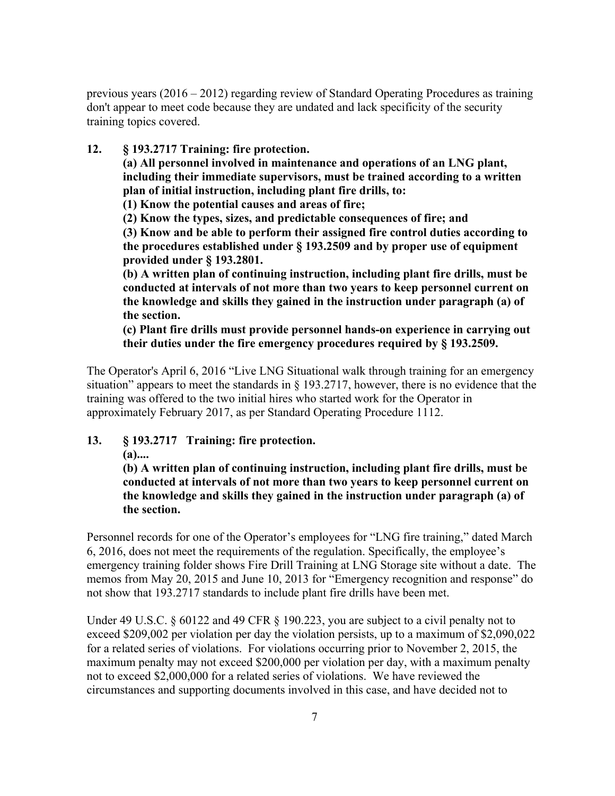previous years (2016 – 2012) regarding review of Standard Operating Procedures as training don't appear to meet code because they are undated and lack specificity of the security training topics covered.

**12. § 193.2717 Training: fire protection.** 

**(a) All personnel involved in maintenance and operations of an LNG plant, including their immediate supervisors, must be trained according to a written plan of initial instruction, including plant fire drills, to:**

**(1) Know the potential causes and areas of fire;** 

**(2) Know the types, sizes, and predictable consequences of fire; and** 

**(3) Know and be able to perform their assigned fire control duties according to the procedures established under § 193.2509 and by proper use of equipment provided under § 193.2801.** 

**(b) A written plan of continuing instruction, including plant fire drills, must be conducted at intervals of not more than two years to keep personnel current on the knowledge and skills they gained in the instruction under paragraph (a) of the section.**

**(c) Plant fire drills must provide personnel hands-on experience in carrying out their duties under the fire emergency procedures required by § 193.2509.** 

The Operator's April 6, 2016 "Live LNG Situational walk through training for an emergency situation" appears to meet the standards in § 193.2717, however, there is no evidence that the training was offered to the two initial hires who started work for the Operator in approximately February 2017, as per Standard Operating Procedure 1112.

**13. § 193.2717 Training: fire protection.** 

**(a)....** 

**(b) A written plan of continuing instruction, including plant fire drills, must be conducted at intervals of not more than two years to keep personnel current on the knowledge and skills they gained in the instruction under paragraph (a) of the section.**

Personnel records for one of the Operator's employees for "LNG fire training," dated March 6, 2016, does not meet the requirements of the regulation. Specifically, the employee's emergency training folder shows Fire Drill Training at LNG Storage site without a date. The memos from May 20, 2015 and June 10, 2013 for "Emergency recognition and response" do not show that 193.2717 standards to include plant fire drills have been met.

Under 49 U.S.C. § 60122 and 49 CFR § 190.223, you are subject to a civil penalty not to exceed \$209,002 per violation per day the violation persists, up to a maximum of \$2,090,022 for a related series of violations. For violations occurring prior to November 2, 2015, the maximum penalty may not exceed \$200,000 per violation per day, with a maximum penalty not to exceed \$2,000,000 for a related series of violations. We have reviewed the circumstances and supporting documents involved in this case, and have decided not to